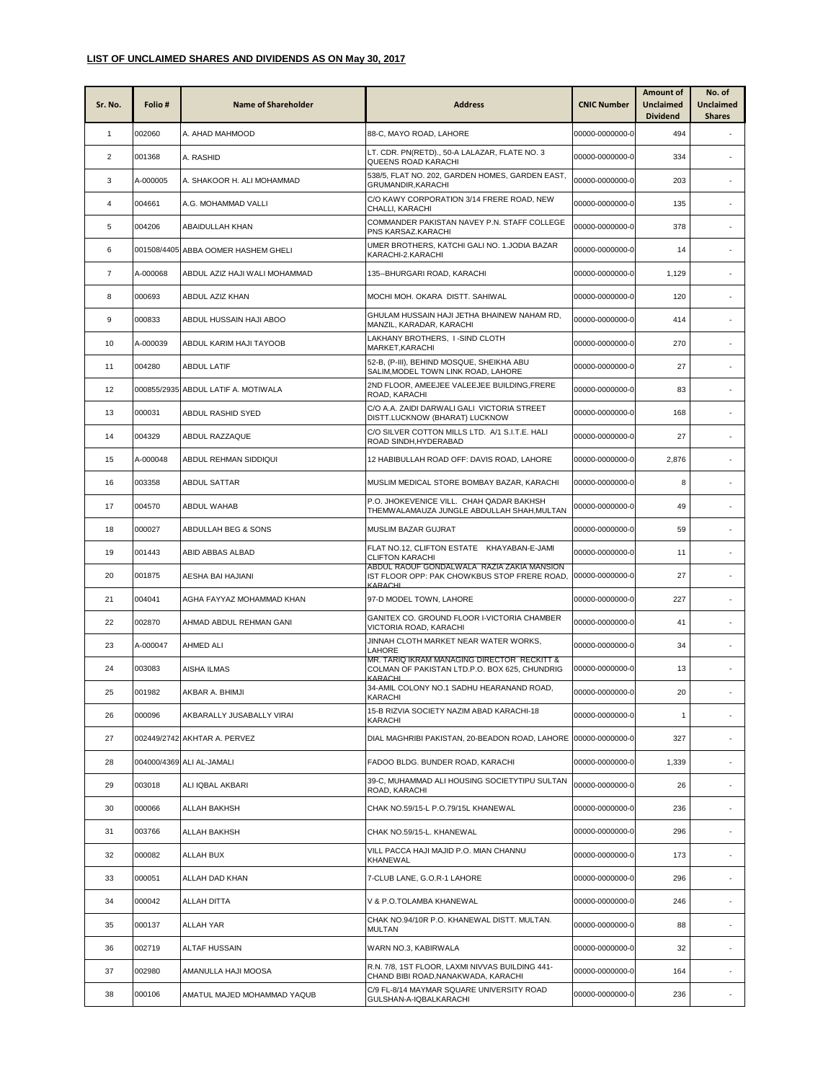## **LIST OF UNCLAIMED SHARES AND DIVIDENDS AS ON May 30, 2017**

| Sr. No.        | Folio#   | <b>Name of Shareholder</b>          | <b>Address</b>                                                                                          | <b>CNIC Number</b> | Amount of<br><b>Unclaimed</b><br><b>Dividend</b> | No. of<br><b>Unclaimed</b><br><b>Shares</b> |
|----------------|----------|-------------------------------------|---------------------------------------------------------------------------------------------------------|--------------------|--------------------------------------------------|---------------------------------------------|
| $\mathbf{1}$   | 002060   | A. AHAD MAHMOOD                     | 88-C, MAYO ROAD, LAHORE                                                                                 | 00000-0000000-0    | 494                                              |                                             |
| $\overline{2}$ | 001368   | A. RASHID                           | LT. CDR. PN(RETD)., 50-A LALAZAR, FLATE NO. 3<br>QUEENS ROAD KARACHI                                    | 00000-0000000-0    | 334                                              |                                             |
| 3              | A-000005 | A. SHAKOOR H. ALI MOHAMMAD          | 538/5, FLAT NO. 202, GARDEN HOMES, GARDEN EAST,<br>GRUMANDIR, KARACHI                                   | 00000-0000000-0    | 203                                              |                                             |
| 4              | 004661   | A.G. MOHAMMAD VALLI                 | C/O KAWY CORPORATION 3/14 FRERE ROAD, NEW<br>CHALLI, KARACHI                                            | 00000-0000000-0    | 135                                              |                                             |
| 5              | 004206   | ABAIDULLAH KHAN                     | COMMANDER PAKISTAN NAVEY P.N. STAFF COLLEGE<br>PNS KARSAZ.KARACHI                                       | 00000-0000000-0    | 378                                              |                                             |
| 6              |          | 001508/4405 ABBA OOMER HASHEM GHELI | UMER BROTHERS, KATCHI GALI NO. 1.JODIA BAZAR<br>KARACHI-2.KARACHI                                       | 00000-0000000-0    | 14                                               |                                             |
| $\overline{7}$ | A-000068 | ABDUL AZIZ HAJI WALI MOHAMMAD       | 135--BHURGARI ROAD, KARACHI                                                                             | 00000-0000000-0    | 1,129                                            |                                             |
| 8              | 000693   | ABDUL AZIZ KHAN                     | MOCHI MOH. OKARA DISTT. SAHIWAL                                                                         | 00000-0000000-0    | 120                                              | ä,                                          |
| 9              | 000833   | ABDUL HUSSAIN HAJI ABOO             | GHULAM HUSSAIN HAJI JETHA BHAINEW NAHAM RD,<br>MANZIL, KARADAR, KARACHI                                 | 00000-0000000-0    | 414                                              |                                             |
| 10             | A-000039 | ABDUL KARIM HAJI TAYOOB             | LAKHANY BROTHERS, I-SIND CLOTH<br>MARKET, KARACHI                                                       | 00000-0000000-0    | 270                                              |                                             |
| 11             | 004280   | <b>ABDUL LATIF</b>                  | 52-B, (P-III), BEHIND MOSQUE, SHEIKHA ABU<br>SALIM, MODEL TOWN LINK ROAD, LAHORE                        | 00000-0000000-0    | 27                                               | ٠                                           |
| 12             |          | 000855/2935 ABDUL LATIF A. MOTIWALA | 2ND FLOOR, AMEEJEE VALEEJEE BUILDING, FRERE<br>ROAD, KARACHI                                            | 00000-0000000-0    | 83                                               | ٠                                           |
| 13             | 000031   | ABDUL RASHID SYED                   | C/O A.A. ZAIDI DARWALI GALI VICTORIA STREET<br>DISTT.LUCKNOW (BHARAT) LUCKNOW                           | 00000-0000000-0    | 168                                              |                                             |
| 14             | 004329   | ABDUL RAZZAQUE                      | C/O SILVER COTTON MILLS LTD. A/1 S.I.T.E. HALI<br>ROAD SINDH, HYDERABAD                                 | 00000-0000000-0    | 27                                               |                                             |
| 15             | A-000048 | ABDUL REHMAN SIDDIQUI               | 12 HABIBULLAH ROAD OFF: DAVIS ROAD, LAHORE                                                              | 00000-0000000-0    | 2,876                                            |                                             |
| 16             | 003358   | ABDUL SATTAR                        | MUSLIM MEDICAL STORE BOMBAY BAZAR, KARACHI                                                              | 00000-0000000-0    | 8                                                |                                             |
| 17             | 004570   | ABDUL WAHAB                         | P.O. JHOKEVENICE VILL. CHAH QADAR BAKHSH<br>THEMWALAMAUZA JUNGLE ABDULLAH SHAH, MULTAN                  | 00000-0000000-0    | 49                                               |                                             |
| 18             | 000027   | ABDULLAH BEG & SONS                 | MUSLIM BAZAR GUJRAT                                                                                     | 00000-0000000-0    | 59                                               | ٠                                           |
| 19             | 001443   | ABID ABBAS ALBAD                    | FLAT NO.12, CLIFTON ESTATE KHAYABAN-E-JAMI<br><b>CLIFTON KARACHI</b>                                    | 00000-0000000-0    | 11                                               |                                             |
| 20             | 001875   | AESHA BAI HAJIANI                   | ABDUL RAOUF GONDALWALA RAZIA ZAKIA MANSION<br>IST FLOOR OPP: PAK CHOWKBUS STOP FRERE ROAD,<br>KARACHL   | 00000-0000000-0    | 27                                               |                                             |
| 21             | 004041   | AGHA FAYYAZ MOHAMMAD KHAN           | 97-D MODEL TOWN, LAHORE                                                                                 | 00000-0000000-0    | 227                                              |                                             |
| 22             | 002870   | AHMAD ABDUL REHMAN GANI             | GANITEX CO. GROUND FLOOR I-VICTORIA CHAMBER<br>VICTORIA ROAD, KARACHI                                   | 00000-0000000-0    | 41                                               |                                             |
| 23             | A-000047 | <b>AHMED ALI</b>                    | JINNAH CLOTH MARKET NEAR WATER WORKS,<br>LAHORE                                                         | 00000-0000000-0    | 34                                               |                                             |
| 24             | 003083   | AISHA ILMAS                         | MR. TARIQ IKRAM MANAGING DIRECTOR RECKITT &<br>COLMAN OF PAKISTAN LTD.P.O. BOX 625, CHUNDRIG<br>KARACHI | 00000-0000000-0    | 13                                               |                                             |
| 25             | 001982   | AKBAR A. BHIMJI                     | 34-AMIL COLONY NO.1 SADHU HEARANAND ROAD,<br>KARACHI                                                    | 00000-0000000-0    | 20                                               |                                             |
| 26             | 000096   | AKBARALLY JUSABALLY VIRAI           | 15-B RIZVIA SOCIETY NAZIM ABAD KARACHI-18<br><b>KARACHI</b>                                             | 00000-0000000-0    | $\mathbf{1}$                                     |                                             |
| 27             |          | 002449/2742 AKHTAR A. PERVEZ        | DIAL MAGHRIBI PAKISTAN, 20-BEADON ROAD, LAHORE 00000-0000000-0                                          |                    | 327                                              | $\overline{\phantom{a}}$                    |
| 28             |          | 004000/4369 ALI AL-JAMALI           | FADOO BLDG. BUNDER ROAD, KARACHI                                                                        | 00000-0000000-0    | 1,339                                            |                                             |
| 29             | 003018   | ALI IQBAL AKBARI                    | 39-C, MUHAMMAD ALI HOUSING SOCIETYTIPU SULTAN<br>ROAD, KARACHI                                          | 00000-0000000-0    | 26                                               | $\overline{\phantom{a}}$                    |
| 30             | 000066   | ALLAH BAKHSH                        | CHAK NO.59/15-L P.O.79/15L KHANEWAL                                                                     | 00000-0000000-0    | 236                                              | $\overline{\phantom{a}}$                    |
| 31             | 003766   | <b>ALLAH BAKHSH</b>                 | CHAK NO.59/15-L. KHANEWAL                                                                               | 00000-0000000-0    | 296                                              | ÷.                                          |
| 32             | 000082   | ALLAH BUX                           | VILL PACCA HAJI MAJID P.O. MIAN CHANNU<br><b>KHANEWAL</b>                                               | 00000-0000000-0    | 173                                              |                                             |
| 33             | 000051   | ALLAH DAD KHAN                      | 7-CLUB LANE, G.O.R-1 LAHORE                                                                             | 00000-0000000-0    | 296                                              | $\overline{\phantom{a}}$                    |
| 34             | 000042   | ALLAH DITTA                         | V & P.O.TOLAMBA KHANEWAL                                                                                | 00000-0000000-0    | 246                                              | $\overline{\phantom{a}}$                    |
| 35             | 000137   | ALLAH YAR                           | CHAK NO.94/10R P.O. KHANEWAL DISTT. MULTAN.<br><b>MULTAN</b>                                            | 00000-0000000-0    | 88                                               |                                             |
| 36             | 002719   | <b>ALTAF HUSSAIN</b>                | WARN NO.3, KABIRWALA                                                                                    | 00000-0000000-0    | 32                                               |                                             |
| 37             | 002980   | AMANULLA HAJI MOOSA                 | R.N. 7/8, 1ST FLOOR, LAXMI NIVVAS BUILDING 441-<br>CHAND BIBI ROAD, NANAKWADA, KARACHI                  | 00000-0000000-0    | 164                                              | $\overline{\phantom{a}}$                    |
| 38             | 000106   | AMATUL MAJED MOHAMMAD YAQUB         | C/9 FL-8/14 MAYMAR SQUARE UNIVERSITY ROAD<br>GULSHAN-A-IQBALKARACHI                                     | 00000-0000000-0    | 236                                              |                                             |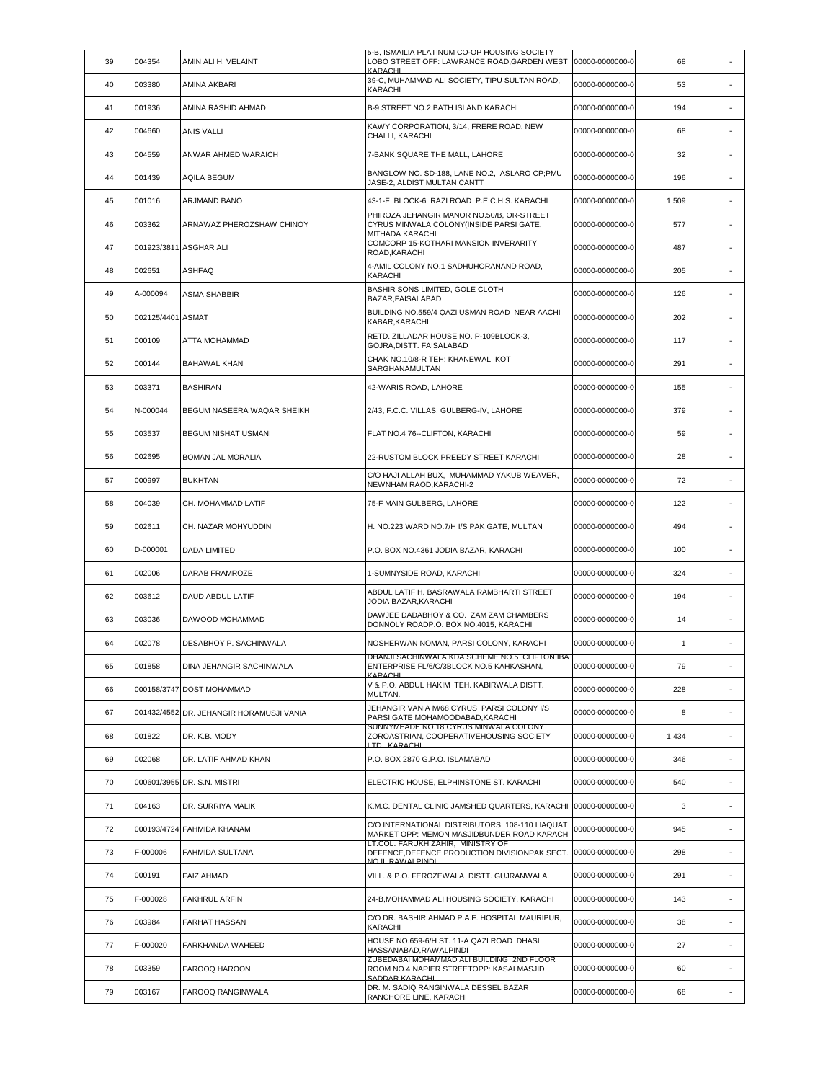| 39 | 004354      | AMIN ALI H. VELAINT                      | 5-B, ISMAILIA PLATINUM CO-OP HOUSING SOCIETY<br>LOBO STREET OFF: LAWRANCE ROAD,GARDEN WEST<br><b>KARACHL</b> | 00000-0000000-0 | 68    |                          |
|----|-------------|------------------------------------------|--------------------------------------------------------------------------------------------------------------|-----------------|-------|--------------------------|
| 40 | 003380      | AMINA AKBARI                             | 39-C, MUHAMMAD ALI SOCIETY, TIPU SULTAN ROAD,<br>KARACHI                                                     | 00000-0000000-0 | 53    |                          |
| 41 | 001936      | AMINA RASHID AHMAD                       | B-9 STREET NO.2 BATH ISLAND KARACHI                                                                          | 00000-0000000-0 | 194   |                          |
| 42 | 004660      | <b>ANIS VALLI</b>                        | KAWY CORPORATION, 3/14, FRERE ROAD, NEW<br>CHALLI, KARACHI                                                   | 00000-0000000-0 | 68    |                          |
| 43 | 004559      | ANWAR AHMED WARAICH                      | 7-BANK SQUARE THE MALL, LAHORE                                                                               | 00000-0000000-0 | 32    |                          |
| 44 | 001439      | AQILA BEGUM                              | BANGLOW NO. SD-188, LANE NO.2, ASLARO CP;PMU<br>JASE-2, ALDIST MULTAN CANTT                                  | 00000-0000000-0 | 196   | $\sim$                   |
| 45 | 001016      | <b>ARJMAND BANO</b>                      | 43-1-F BLOCK-6 RAZI ROAD P.E.C.H.S. KARACHI                                                                  | 00000-0000000-0 | 1,509 | ٠                        |
| 46 | 003362      | ARNAWAZ PHEROZSHAW CHINOY                | PHIROZA JEHANGIR MANOR NO.50/B, OR-STREET<br>CYRUS MINWALA COLONY(INSIDE PARSI GATE,<br>MITHADA KARACHL      | 00000-0000000-0 | 577   |                          |
| 47 |             | 001923/3811 ASGHAR ALI                   | COMCORP 15-KOTHARI MANSION INVERARITY<br>ROAD, KARACHI                                                       | 00000-0000000-0 | 487   | $\sim$                   |
| 48 | 002651      | ASHFAQ                                   | 4-AMIL COLONY NO.1 SADHUHORANAND ROAD,<br>KARACHI                                                            | 00000-0000000-0 | 205   | ٠                        |
| 49 | A-000094    | <b>ASMA SHABBIR</b>                      | BASHIR SONS LIMITED, GOLE CLOTH<br>BAZAR, FAISALABAD                                                         | 00000-0000000-0 | 126   |                          |
| 50 | 002125/4401 | <b>ASMAT</b>                             | BUILDING NO.559/4 QAZI USMAN ROAD NEAR AACHI<br>KABAR, KARACHI                                               | 00000-0000000-0 | 202   | $\sim$                   |
| 51 | 000109      | ATTA MOHAMMAD                            | RETD. ZILLADAR HOUSE NO. P-109BLOCK-3,<br>GOJRA, DISTT. FAISALABAD                                           | 00000-0000000-0 | 117   | $\sim$                   |
| 52 | 000144      | <b>BAHAWAL KHAN</b>                      | CHAK NO.10/8-R TEH: KHANEWAL KOT<br>SARGHANAMULTAN                                                           | 00000-0000000-0 | 291   | $\sim$                   |
| 53 | 003371      | <b>BASHIRAN</b>                          | 42-WARIS ROAD, LAHORE                                                                                        | 00000-0000000-0 | 155   |                          |
| 54 | N-000044    | BEGUM NASEERA WAQAR SHEIKH               | 2/43, F.C.C. VILLAS, GULBERG-IV, LAHORE                                                                      | 00000-0000000-0 | 379   |                          |
| 55 | 003537      | BEGUM NISHAT USMANI                      | FLAT NO.4 76 -- CLIFTON, KARACHI                                                                             | 00000-0000000-0 | 59    |                          |
| 56 | 002695      | <b>BOMAN JAL MORALIA</b>                 | 22-RUSTOM BLOCK PREEDY STREET KARACHI                                                                        | 00000-0000000-0 | 28    |                          |
| 57 | 000997      | <b>BUKHTAN</b>                           | C/O HAJI ALLAH BUX, MUHAMMAD YAKUB WEAVER,<br>NEWNHAM RAOD, KARACHI-2                                        | 00000-0000000-0 | 72    | $\sim$                   |
| 58 | 004039      | CH. MOHAMMAD LATIF                       | 75-F MAIN GULBERG, LAHORE                                                                                    | 00000-0000000-0 | 122   | ٠                        |
| 59 | 002611      | CH. NAZAR MOHYUDDIN                      | H. NO.223 WARD NO.7/H I/S PAK GATE, MULTAN                                                                   | 00000-0000000-0 | 494   |                          |
| 60 | D-000001    | <b>DADA LIMITED</b>                      | P.O. BOX NO.4361 JODIA BAZAR, KARACHI                                                                        | 00000-0000000-0 | 100   |                          |
| 61 | 002006      | DARAB FRAMROZE                           | 1-SUMNYSIDE ROAD, KARACHI                                                                                    | 00000-0000000-0 | 324   |                          |
| 62 | 003612      | <b>DAUD ABDUL LATIF</b>                  | ABDUL LATIF H. BASRAWALA RAMBHARTI STREET<br>JODIA BAZAR, KARACHI                                            | 00000-0000000-0 | 194   |                          |
| 63 | 003036      | DAWOOD MOHAMMAD                          | DAWJEE DADABHOY & CO. ZAM ZAM CHAMBERS<br>DONNOLY ROADP.O. BOX NO.4015, KARACHI                              | 00000-0000000-0 | 14    |                          |
| 64 | 002078      | DESABHOY P. SACHINWALA                   | NOSHERWAN NOMAN, PARSI COLONY, KARACHI                                                                       | 00000-0000000-0 | 1     |                          |
| 65 | 001858      | DINA JEHANGIR SACHINWALA                 | DHANJI SACHINWALA KDA SCHEME NO.5 CLIFTON IBA<br>ENTERPRISE FL/6/C/3BLOCK NO.5 KAHKASHAN,<br>KARACHI         | 00000-0000000-0 | 79    | $\overline{\phantom{a}}$ |
| 66 |             | 000158/3747 DOST MOHAMMAD                | V & P.O. ABDUL HAKIM TEH. KABIRWALA DISTT.<br>MULTAN.                                                        | 00000-0000000-0 | 228   | ٠                        |
| 67 |             | 001432/4552 DR. JEHANGIR HORAMUSJI VANIA | JEHANGIR VANIA M/68 CYRUS PARSI COLONY I/S<br>PARSI GATE MOHAMOODABAD, KARACHI                               | 00000-0000000-0 | 8     | ٠                        |
| 68 | 001822      | DR. K.B. MODY                            | SUNNYMEADE NO.18 CYRUS MINWALA COLONY<br>ZOROASTRIAN, COOPERATIVEHOUSING SOCIETY<br>ITD KARACHI              | 00000-0000000-0 | 1,434 |                          |
| 69 | 002068      | DR. LATIF AHMAD KHAN                     | P.O. BOX 2870 G.P.O. ISLAMABAD                                                                               | 00000-0000000-0 | 346   | ×.                       |
| 70 |             | 000601/3955 DR. S.N. MISTRI              | ELECTRIC HOUSE, ELPHINSTONE ST, KARACHI                                                                      | 00000-0000000-0 | 540   | $\overline{\phantom{a}}$ |
| 71 | 004163      | DR. SURRIYA MALIK                        | K.M.C. DENTAL CLINIC JAMSHED QUARTERS, KARACHI                                                               | 00000-0000000-0 | 3     | ×.                       |
| 72 |             | 000193/4724 FAHMIDA KHANAM               | C/O INTERNATIONAL DISTRIBUTORS 108-110 LIAQUAT<br>MARKET OPP: MEMON MASJIDBUNDER ROAD KARACH                 | 00000-0000000-0 | 945   | ٠                        |
| 73 | F-000006    | <b>FAHMIDA SULTANA</b>                   | LT.COL. FARUKH ZAHIR, MINISTRY OF<br>DEFENCE, DEFENCE PRODUCTION DIVISIONPAK SECT.<br>NO IL RAWALPINDI       | 00000-0000000-0 | 298   | $\overline{\phantom{a}}$ |
| 74 | 000191      | <b>FAIZ AHMAD</b>                        | VILL. & P.O. FEROZEWALA DISTT. GUJRANWALA.                                                                   | 00000-0000000-0 | 291   |                          |
| 75 | F-000028    | <b>FAKHRUL ARFIN</b>                     | 24-B, MOHAMMAD ALI HOUSING SOCIETY, KARACHI                                                                  | 00000-0000000-0 | 143   | $\blacksquare$           |
| 76 | 003984      | <b>FARHAT HASSAN</b>                     | C/O DR. BASHIR AHMAD P.A.F. HOSPITAL MAURIPUR,<br>KARACHI                                                    | 00000-0000000-0 | 38    | $\overline{\phantom{a}}$ |
| 77 | F-000020    | FARKHANDA WAHEED                         | HOUSE NO.659-6/H ST. 11-A QAZI ROAD DHASI<br>HASSANABAD, RAWALPINDI                                          | 00000-0000000-0 | 27    | $\epsilon$               |
| 78 | 003359      | FAROOQ HAROON                            | ZUBEDABAI MOHAMMAD ALI BUILDING 2ND FLOOR<br>ROOM NO.4 NAPIER STREETOPP: KASAI MASJID<br>SADDAR KARACHL      | 00000-0000000-0 | 60    |                          |
| 79 | 003167      | FAROOQ RANGINWALA                        | DR. M. SADIQ RANGINWALA DESSEL BAZAR<br>RANCHORE LINE, KARACHI                                               | 00000-0000000-0 | 68    | $\overline{\phantom{a}}$ |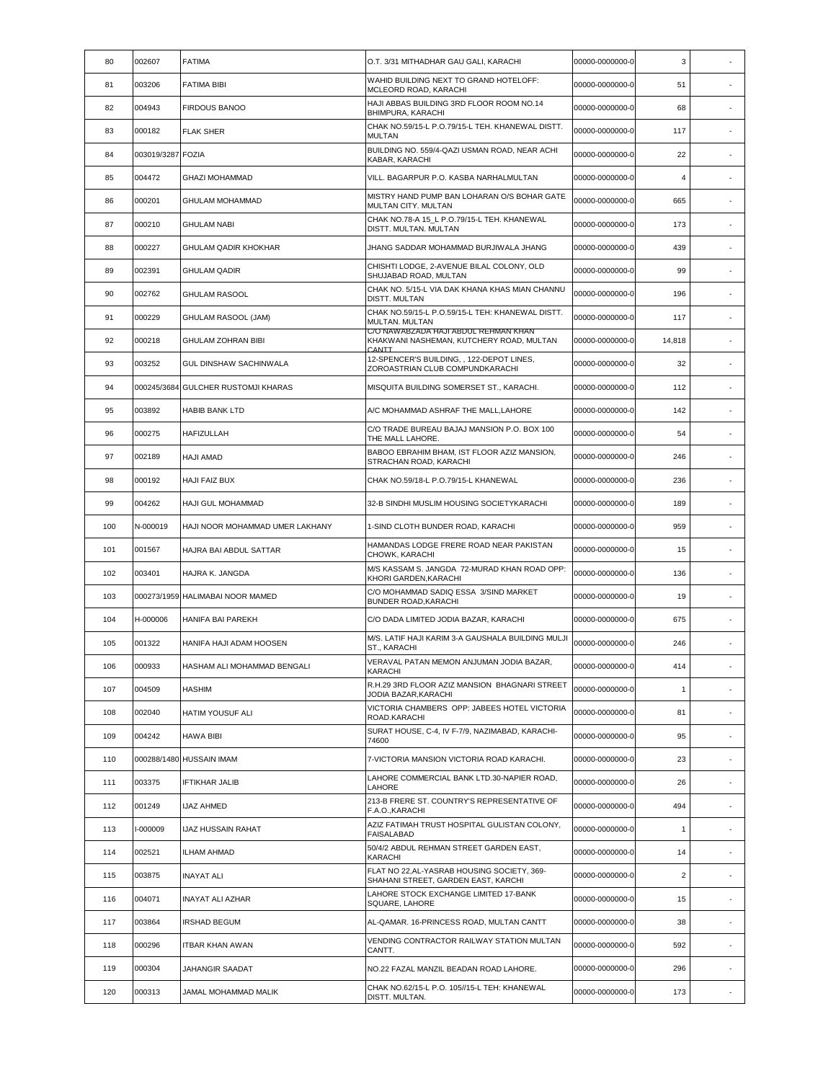| 80  | 002607            | <b>FATIMA</b>                       | O.T. 3/31 MITHADHAR GAU GALI, KARACHI                                                     | 00000-0000000-0 | 3              |                          |
|-----|-------------------|-------------------------------------|-------------------------------------------------------------------------------------------|-----------------|----------------|--------------------------|
| 81  | 003206            | <b>FATIMA BIBI</b>                  | WAHID BUILDING NEXT TO GRAND HOTELOFF:<br>MCLEORD ROAD, KARACHI                           | 00000-0000000-0 | 51             | $\sim$                   |
| 82  | 004943            | <b>FIRDOUS BANOO</b>                | HAJI ABBAS BUILDING 3RD FLOOR ROOM NO.14<br>BHIMPURA, KARACHI                             | 00000-0000000-0 | 68             | ٠                        |
| 83  | 000182            | <b>FLAK SHER</b>                    | CHAK NO.59/15-L P.O.79/15-L TEH. KHANEWAL DISTT.<br><b>MULTAN</b>                         | 00000-0000000-0 | 117            |                          |
| 84  | 003019/3287 FOZIA |                                     | BUILDING NO. 559/4-QAZI USMAN ROAD, NEAR ACHI<br>KABAR, KARACHI                           | 00000-0000000-0 | 22             | ×.                       |
| 85  | 004472            | <b>GHAZI MOHAMMAD</b>               | VILL. BAGARPUR P.O. KASBA NARHALMULTAN                                                    | 00000-0000000-0 | 4              | $\overline{\phantom{a}}$ |
| 86  | 000201            | <b>GHULAM MOHAMMAD</b>              | MISTRY HAND PUMP BAN LOHARAN O/S BOHAR GATE<br>MULTAN CITY. MULTAN                        | 00000-0000000-0 | 665            |                          |
| 87  | 000210            | <b>GHULAM NABI</b>                  | CHAK NO.78-A 15 L P.O.79/15-L TEH. KHANEWAL<br>DISTT. MULTAN. MULTAN                      | 00000-0000000-0 | 173            | ٠                        |
| 88  | 000227            | <b>GHULAM QADIR KHOKHAR</b>         | JHANG SADDAR MOHAMMAD BURJIWALA JHANG                                                     | 00000-0000000-0 | 439            | $\sim$                   |
| 89  | 002391            | <b>GHULAM QADIR</b>                 | CHISHTI LODGE, 2-AVENUE BILAL COLONY, OLD<br>SHUJABAD ROAD, MULTAN                        | 00000-0000000-0 | 99             |                          |
| 90  | 002762            | <b>GHULAM RASOOL</b>                | CHAK NO. 5/15-L VIA DAK KHANA KHAS MIAN CHANNU<br><b>DISTT. MULTAN</b>                    | 00000-0000000-0 | 196            |                          |
| 91  | 000229            | GHULAM RASOOL (JAM)                 | CHAK NO.59/15-L P.O.59/15-L TEH: KHANEWAL DISTT.<br>MULTAN. MULTAN                        | 00000-0000000-0 | 117            | $\overline{\phantom{a}}$ |
| 92  | 000218            | <b>GHULAM ZOHRAN BIBI</b>           | C/O NAWABZADA HAJI ABDUL REHMAN KHAN<br>KHAKWANI NASHEMAN, KUTCHERY ROAD, MULTAN<br>CANTT | 00000-0000000-0 | 14,818         | $\sim$                   |
| 93  | 003252            | <b>GUL DINSHAW SACHINWALA</b>       | 12-SPENCER'S BUILDING, , 122-DEPOT LINES,<br>ZOROASTRIAN CLUB COMPUNDKARACHI              | 00000-0000000-0 | 32             |                          |
| 94  |                   | 000245/3684 GULCHER RUSTOMJI KHARAS | MISQUITA BUILDING SOMERSET ST., KARACHI.                                                  | 00000-0000000-0 | 112            |                          |
| 95  | 003892            | <b>HABIB BANK LTD</b>               | A/C MOHAMMAD ASHRAF THE MALL, LAHORE                                                      | 00000-0000000-0 | 142            | ٠                        |
| 96  | 000275            | HAFIZULLAH                          | C/O TRADE BUREAU BAJAJ MANSION P.O. BOX 100<br>THE MALL LAHORE.                           | 00000-0000000-0 | 54             |                          |
| 97  | 002189            | <b>HAJI AMAD</b>                    | BABOO EBRAHIM BHAM, IST FLOOR AZIZ MANSION,<br>STRACHAN ROAD, KARACHI                     | 00000-0000000-0 | 246            | $\sim$                   |
| 98  | 000192            | HAJI FAIZ BUX                       | CHAK NO.59/18-L P.O.79/15-L KHANEWAL                                                      | 00000-0000000-0 | 236            | $\sim$                   |
| 99  | 004262            | <b>HAJI GUL MOHAMMAD</b>            | 32-B SINDHI MUSLIM HOUSING SOCIETYKARACHI                                                 | 00000-0000000-0 | 189            |                          |
| 100 | N-000019          | HAJI NOOR MOHAMMAD UMER LAKHANY     | 1-SIND CLOTH BUNDER ROAD, KARACHI                                                         | 00000-0000000-0 | 959            |                          |
| 101 | 001567            | HAJRA BAI ABDUL SATTAR              | HAMANDAS LODGE FRERE ROAD NEAR PAKISTAN<br>CHOWK, KARACHI                                 | 00000-0000000-0 | 15             | ٠                        |
| 102 | 003401            | HAJRA K. JANGDA                     | M/S KASSAM S. JANGDA 72-MURAD KHAN ROAD OPP:<br>KHORI GARDEN, KARACHI                     | 00000-0000000-0 | 136            |                          |
| 103 |                   | 000273/1959 HALIMABAI NOOR MAMED    | C/O MOHAMMAD SADIQ ESSA 3/SIND MARKET<br>BUNDER ROAD, KARACHI                             | 00000-0000000-0 | 19             | $\sim$                   |
| 104 | H-000006          | <b>HANIFA BAI PAREKH</b>            | C/O DADA LIMITED JODIA BAZAR, KARACHI                                                     | 00000-0000000-0 | 675            | $\overline{\phantom{a}}$ |
| 105 | 001322            | HANIFA HAJI ADAM HOOSEN             | M/S. LATIF HAJI KARIM 3-A GAUSHALA BUILDING MULJI<br>ST., KARACHI                         | 00000-0000000-0 | 246            |                          |
| 106 | 000933            | HASHAM ALI MOHAMMAD BENGALI         | VERAVAL PATAN MEMON ANJUMAN JODIA BAZAR,<br><b>KARACHI</b>                                | 00000-0000000-0 | 414            |                          |
| 107 | 004509            | <b>HASHIM</b>                       | R.H.29 3RD FLOOR AZIZ MANSION BHAGNARI STREET<br>JODIA BAZAR.KARACHI                      | 00000-0000000-0 | 1              | $\overline{\phantom{a}}$ |
| 108 | 002040            | <b>HATIM YOUSUF ALI</b>             | VICTORIA CHAMBERS OPP: JABEES HOTEL VICTORIA<br>ROAD.KARACHI                              | 00000-0000000-0 | 81             |                          |
| 109 | 004242            | <b>HAWA BIBI</b>                    | SURAT HOUSE, C-4, IV F-7/9, NAZIMABAD, KARACHI-<br>74600                                  | 00000-0000000-0 | 95             | $\overline{\phantom{a}}$ |
| 110 |                   | 000288/1480 HUSSAIN IMAM            | 7-VICTORIA MANSION VICTORIA ROAD KARACHI.                                                 | 00000-0000000-0 | 23             | $\overline{\phantom{a}}$ |
| 111 | 003375            | <b>IFTIKHAR JALIB</b>               | LAHORE COMMERCIAL BANK LTD.30-NAPIER ROAD,<br>LAHORE                                      | 00000-0000000-0 | 26             | $\mathbf{r}$             |
| 112 | 001249            | IJAZ AHMED                          | 213-B FRERE ST. COUNTRY'S REPRESENTATIVE OF<br>F.A.O., KARACHI                            | 00000-0000000-0 | 494            | $\overline{\phantom{a}}$ |
| 113 | I-000009          | IJAZ HUSSAIN RAHAT                  | AZIZ FATIMAH TRUST HOSPITAL GULISTAN COLONY,<br><b>FAISALABAD</b>                         | 00000-0000000-0 | 1              | $\overline{\phantom{a}}$ |
| 114 | 002521            | ILHAM AHMAD                         | 50/4/2 ABDUL REHMAN STREET GARDEN EAST,<br>KARACHI                                        | 00000-0000000-0 | 14             | $\overline{\phantom{a}}$ |
| 115 | 003875            | <b>INAYAT ALI</b>                   | FLAT NO 22, AL-YASRAB HOUSING SOCIETY, 369-<br>SHAHANI STREET, GARDEN EAST, KARCHI        | 00000-0000000-0 | $\overline{2}$ |                          |
| 116 | 004071            | <b>INAYAT ALI AZHAR</b>             | LAHORE STOCK EXCHANGE LIMITED 17-BANK<br>SQUARE, LAHORE                                   | 00000-0000000-0 | 15             | $\sim$                   |
| 117 | 003864            | <b>IRSHAD BEGUM</b>                 | AL-QAMAR. 16-PRINCESS ROAD, MULTAN CANTT                                                  | 00000-0000000-0 | 38             | $\sim$                   |
| 118 | 000296            | ITBAR KHAN AWAN                     | VENDING CONTRACTOR RAILWAY STATION MULTAN<br>CANTT.                                       | 00000-0000000-0 | 592            | $\overline{\phantom{a}}$ |
| 119 | 000304            | JAHANGIR SAADAT                     | NO.22 FAZAL MANZIL BEADAN ROAD LAHORE.                                                    | 00000-0000000-0 | 296            | $\epsilon$               |
| 120 | 000313            | JAMAL MOHAMMAD MALIK                | CHAK NO.62/15-L P.O. 105//15-L TEH: KHANEWAL<br>DISTT. MULTAN.                            | 00000-0000000-0 | 173            | $\sim$                   |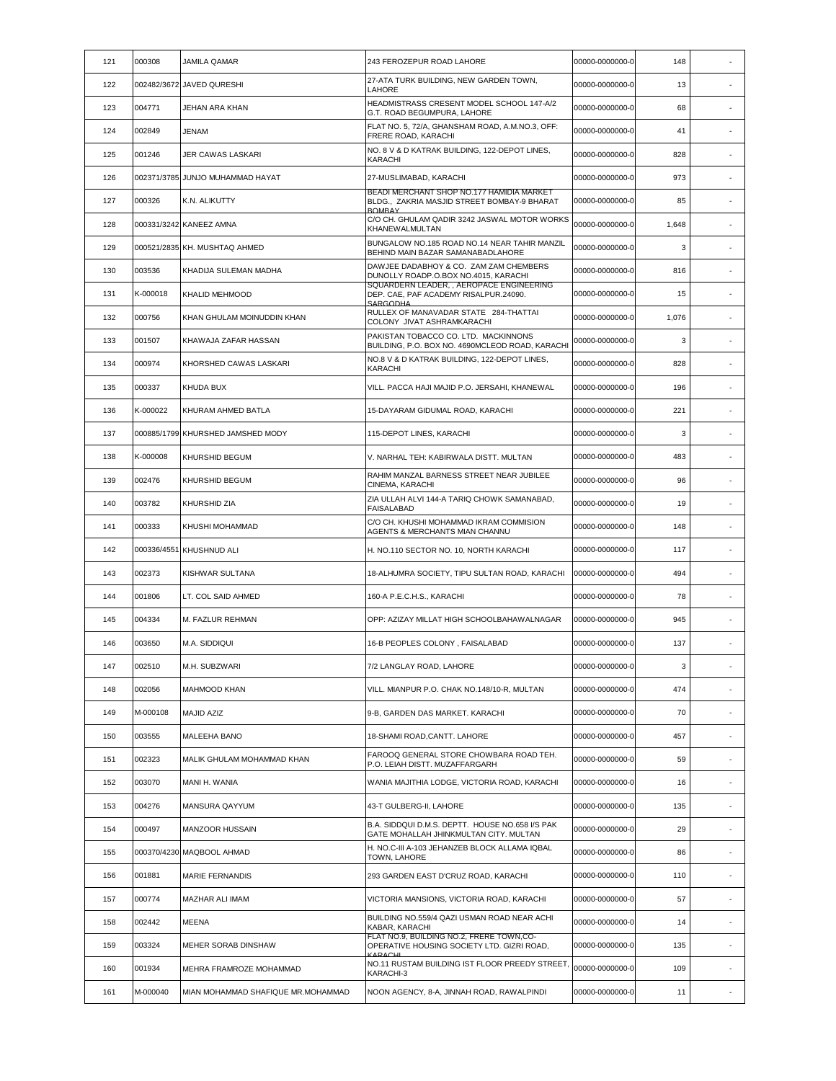| 121 | 000308      | JAMILA QAMAR                       | 243 FEROZEPUR ROAD LAHORE                                                                                 | 00000-0000000-0 | 148   |                          |
|-----|-------------|------------------------------------|-----------------------------------------------------------------------------------------------------------|-----------------|-------|--------------------------|
| 122 | 002482/3672 | JAVED QURESHI                      | 27-ATA TURK BUILDING, NEW GARDEN TOWN,<br>LAHORE                                                          | 00000-0000000-0 | 13    |                          |
| 123 | 004771      | JEHAN ARA KHAN                     | HEADMISTRASS CRESENT MODEL SCHOOL 147-A/2<br>G.T. ROAD BEGUMPURA, LAHORE                                  | 00000-0000000-0 | 68    | ٠                        |
| 124 | 002849      | <b>JENAM</b>                       | FLAT NO. 5, 72/A, GHANSHAM ROAD, A.M.NO.3, OFF:<br>FRERE ROAD, KARACHI                                    | 00000-0000000-0 | 41    |                          |
| 125 | 001246      | JER CAWAS LASKARI                  | NO. 8 V & D KATRAK BUILDING, 122-DEPOT LINES,<br><b>KARACHI</b>                                           | 00000-0000000-0 | 828   |                          |
| 126 |             | 002371/3785 JUNJO MUHAMMAD HAYAT   | 27-MUSLIMABAD, KARACHI                                                                                    | 00000-0000000-0 | 973   | $\overline{\phantom{a}}$ |
| 127 | 000326      | K.N. ALIKUTTY                      | BEADI MERCHANT SHOP NO.177 HAMIDIA MARKET<br>BLDG., ZAKRIA MASJID STREET BOMBAY-9 BHARAT<br><b>ROMRAY</b> | 00000-0000000-0 | 85    |                          |
| 128 |             | 000331/3242 KANEEZ AMNA            | C/O CH. GHULAM QADIR 3242 JASWAL MOTOR WORKS<br>KHANEWALMULTAN                                            | 00000-0000000-0 | 1,648 |                          |
| 129 |             | 000521/2835 KH. MUSHTAQ AHMED      | BUNGALOW NO.185 ROAD NO.14 NEAR TAHIR MANZIL<br>BEHIND MAIN BAZAR SAMANABADLAHORE                         | 00000-0000000-0 | 3     |                          |
| 130 | 003536      | KHADIJA SULEMAN MADHA              | DAWJEE DADABHOY & CO. ZAM ZAM CHEMBERS<br>DUNOLLY ROADP.O.BOX NO.4015, KARACHI                            | 00000-0000000-0 | 816   |                          |
| 131 | K-000018    | KHALID MEHMOOD                     | SQUARDERN LEADER, , AEROPACE ENGINEERING<br>DEP. CAE, PAF ACADEMY RISALPUR.24090.<br>SARGODHA             | 00000-0000000-0 | 15    | $\overline{\phantom{a}}$ |
| 132 | 000756      | KHAN GHULAM MOINUDDIN KHAN         | RULLEX OF MANAVADAR STATE 284-THATTAI<br>COLONY JIVAT ASHRAMKARACHI                                       | 00000-0000000-0 | 1,076 | $\overline{\phantom{a}}$ |
| 133 | 001507      | KHAWAJA ZAFAR HASSAN               | PAKISTAN TOBACCO CO. LTD. MACKINNONS<br>BUILDING, P.O. BOX NO. 4690MCLEOD ROAD, KARACHI                   | 00000-0000000-0 | 3     |                          |
| 134 | 000974      | KHORSHED CAWAS LASKARI             | NO.8 V & D KATRAK BUILDING, 122-DEPOT LINES,<br><b>KARACHI</b>                                            | 00000-0000000-0 | 828   |                          |
| 135 | 000337      | KHUDA BUX                          | VILL. PACCA HAJI MAJID P.O. JERSAHI, KHANEWAL                                                             | 00000-0000000-0 | 196   | $\overline{\phantom{a}}$ |
| 136 | K-000022    | KHURAM AHMED BATLA                 | 15-DAYARAM GIDUMAL ROAD, KARACHI                                                                          | 00000-0000000-0 | 221   |                          |
| 137 |             | 000885/1799 KHURSHED JAMSHED MODY  | 115-DEPOT LINES, KARACHI                                                                                  | 00000-0000000-0 | 3     | $\overline{\phantom{a}}$ |
| 138 | K-000008    | KHURSHID BEGUM                     | V. NARHAL TEH: KABIRWALA DISTT. MULTAN                                                                    | 00000-0000000-0 | 483   |                          |
| 139 | 002476      | KHURSHID BEGUM                     | RAHIM MANZAL BARNESS STREET NEAR JUBILEE<br>CINEMA, KARACHI                                               | 00000-0000000-0 | 96    | ×,                       |
| 140 | 003782      | KHURSHID ZIA                       | ZIA ULLAH ALVI 144-A TARIQ CHOWK SAMANABAD,<br><b>FAISALABAD</b>                                          | 00000-0000000-0 | 19    |                          |
| 141 | 000333      | KHUSHI MOHAMMAD                    | C/O CH. KHUSHI MOHAMMAD IKRAM COMMISION<br>AGENTS & MERCHANTS MIAN CHANNU                                 | 00000-0000000-0 | 148   | $\overline{\phantom{a}}$ |
| 142 |             | 000336/4551 KHUSHNUD ALI           | H. NO.110 SECTOR NO. 10, NORTH KARACHI                                                                    | 00000-0000000-0 | 117   |                          |
| 143 | 002373      | KISHWAR SULTANA                    | 18-ALHUMRA SOCIETY, TIPU SULTAN ROAD, KARACHI                                                             | 00000-0000000-0 | 494   |                          |
| 144 | 001806      | LT. COL SAID AHMED                 | 160-A P.E.C.H.S., KARACHI                                                                                 | 00000-0000000-0 | 78    | $\overline{\phantom{a}}$ |
| 145 | 004334      | M. FAZLUR REHMAN                   | OPP: AZIZAY MILLAT HIGH SCHOOLBAHAWALNAGAR                                                                | 00000-0000000-0 | 945   | ٠                        |
| 146 | 003650      | M.A. SIDDIQUI                      | 16-B PEOPLES COLONY, FAISALABAD                                                                           | 00000-0000000-0 | 137   |                          |
| 147 | 002510      | M.H. SUBZWARI                      | 7/2 LANGLAY ROAD, LAHORE                                                                                  | 00000-0000000-0 | 3     |                          |
| 148 | 002056      | MAHMOOD KHAN                       | VILL. MIANPUR P.O. CHAK NO.148/10-R, MULTAN                                                               | 00000-0000000-0 | 474   | $\overline{\phantom{a}}$ |
| 149 | M-000108    | MAJID AZIZ                         | 9-B, GARDEN DAS MARKET. KARACHI                                                                           | 00000-0000000-0 | 70    |                          |
| 150 | 003555      | MALEEHA BANO                       | 18-SHAMI ROAD, CANTT. LAHORE                                                                              | 00000-0000000-0 | 457   | ×.                       |
| 151 | 002323      | MALIK GHULAM MOHAMMAD KHAN         | FAROOQ GENERAL STORE CHOWBARA ROAD TEH.<br>P.O. LEIAH DISTT. MUZAFFARGARH                                 | 00000-0000000-0 | 59    | $\overline{\phantom{a}}$ |
| 152 | 003070      | MANI H. WANIA                      | WANIA MAJITHIA LODGE, VICTORIA ROAD, KARACHI                                                              | 00000-0000000-0 | 16    |                          |
| 153 | 004276      | MANSURA QAYYUM                     | 43-T GULBERG-II, LAHORE                                                                                   | 00000-0000000-0 | 135   | ٠                        |
| 154 | 000497      | <b>MANZOOR HUSSAIN</b>             | B.A. SIDDQUI D.M.S. DEPTT. HOUSE NO.658 I/S PAK<br>GATE MOHALLAH JHINKMULTAN CITY, MULTAN                 | 00000-0000000-0 | 29    | ٠                        |
| 155 |             | 000370/4230 MAQBOOL AHMAD          | H. NO.C-III A-103 JEHANZEB BLOCK ALLAMA IQBAL<br>TOWN, LAHORE                                             | 00000-0000000-0 | 86    |                          |
| 156 | 001881      | MARIE FERNANDIS                    | 293 GARDEN EAST D'CRUZ ROAD, KARACHI                                                                      | 00000-0000000-0 | 110   | $\sim$                   |
| 157 | 000774      | MAZHAR ALI IMAM                    | VICTORIA MANSIONS, VICTORIA ROAD, KARACHI                                                                 | 00000-0000000-0 | 57    | $\overline{\phantom{a}}$ |
| 158 | 002442      | <b>MEENA</b>                       | BUILDING NO.559/4 QAZI USMAN ROAD NEAR ACHI<br>KABAR, KARACHI                                             | 00000-0000000-0 | 14    | ×,                       |
| 159 | 003324      | MEHER SORAB DINSHAW                | FLAT NO.9, BUILDING NO.2, FRERE TOWN,CO-<br>OPERATIVE HOUSING SOCIETY LTD. GIZRI ROAD,<br>KARACHL         | 00000-0000000-0 | 135   | ٠                        |
| 160 | 001934      | MEHRA FRAMROZE MOHAMMAD            | NO.11 RUSTAM BUILDING IST FLOOR PREEDY STREET,<br>KARACHI-3                                               | 00000-0000000-0 | 109   | $\sim$                   |
| 161 | M-000040    | MIAN MOHAMMAD SHAFIQUE MR.MOHAMMAD | NOON AGENCY, 8-A, JINNAH ROAD, RAWALPINDI                                                                 | 00000-0000000-0 | 11    |                          |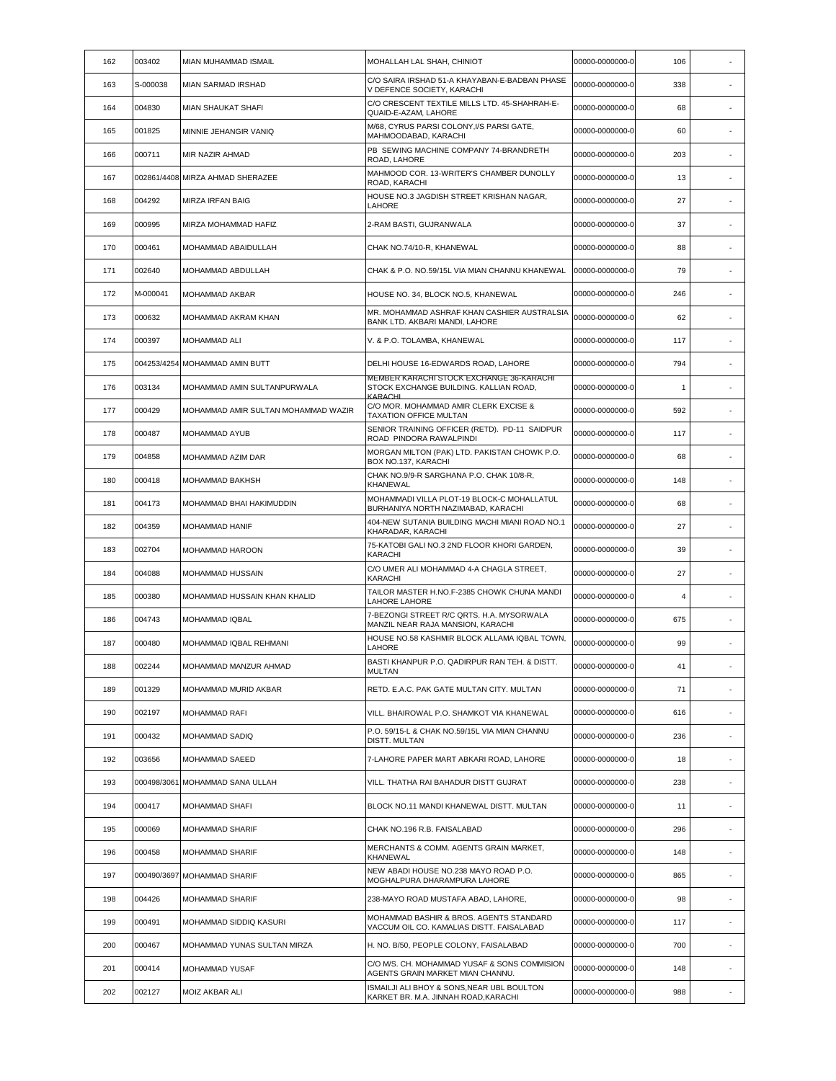| 162 | 003402   | MIAN MUHAMMAD ISMAIL                | MOHALLAH LAL SHAH, CHINIOT                                                           | 00000-0000000-0 | 106 |                          |
|-----|----------|-------------------------------------|--------------------------------------------------------------------------------------|-----------------|-----|--------------------------|
| 163 | S-000038 | MIAN SARMAD IRSHAD                  | C/O SAIRA IRSHAD 51-A KHAYABAN-E-BADBAN PHASE<br>V DEFENCE SOCIETY, KARACHI          | 00000-0000000-0 | 338 |                          |
| 164 | 004830   | MIAN SHAUKAT SHAFI                  | C/O CRESCENT TEXTILE MILLS LTD. 45-SHAHRAH-E-<br>QUAID-E-AZAM, LAHORE                | 00000-0000000-0 | 68  |                          |
| 165 | 001825   | MINNIE JEHANGIR VANIQ               | M/68, CYRUS PARSI COLONY, I/S PARSI GATE,<br>MAHMOODABAD, KARACHI                    | 00000-0000000-0 | 60  |                          |
| 166 | 000711   | MIR NAZIR AHMAD                     | PB SEWING MACHINE COMPANY 74-BRANDRETH<br>ROAD, LAHORE                               | 00000-0000000-0 | 203 | ٠                        |
| 167 |          | 002861/4408 MIRZA AHMAD SHERAZEE    | MAHMOOD COR. 13-WRITER'S CHAMBER DUNOLLY<br>ROAD, KARACHI                            | 00000-0000000-0 | 13  | ٠                        |
| 168 | 004292   | <b>MIRZA IRFAN BAIG</b>             | HOUSE NO.3 JAGDISH STREET KRISHAN NAGAR,<br>LAHORE                                   | 00000-0000000-0 | 27  |                          |
| 169 | 000995   | MIRZA MOHAMMAD HAFIZ                | 2-RAM BASTI, GUJRANWALA                                                              | 00000-0000000-0 | 37  | ä,                       |
| 170 | 000461   | MOHAMMAD ABAIDULLAH                 | CHAK NO.74/10-R, KHANEWAL                                                            | 00000-0000000-0 | 88  | ٠                        |
| 171 | 002640   | MOHAMMAD ABDULLAH                   | CHAK & P.O. NO.59/15L VIA MIAN CHANNU KHANEWAL                                       | 00000-0000000-0 | 79  |                          |
| 172 | M-000041 | MOHAMMAD AKBAR                      | HOUSE NO. 34, BLOCK NO.5, KHANEWAL                                                   | 00000-0000000-0 | 246 | ٠                        |
| 173 | 000632   | MOHAMMAD AKRAM KHAN                 | MR. MOHAMMAD ASHRAF KHAN CASHIER AUSTRALSIA<br>BANK LTD. AKBARI MANDI. LAHORE        | 00000-0000000-0 | 62  | $\sim$                   |
| 174 | 000397   | MOHAMMAD ALI                        | V. & P.O. TOLAMBA, KHANEWAL                                                          | 00000-0000000-0 | 117 |                          |
| 175 |          | 004253/4254 MOHAMMAD AMIN BUTT      | DELHI HOUSE 16-EDWARDS ROAD, LAHORE                                                  | 00000-0000000-0 | 794 |                          |
| 176 | 003134   | MOHAMMAD AMIN SULTANPURWALA         | MEMBER KARACHI STOCK EXCHANGE 36-KARACHI<br>STOCK EXCHANGE BUILDING. KALLIAN ROAD,   | 00000-0000000-0 | 1   | ٠                        |
| 177 | 000429   | MOHAMMAD AMIR SULTAN MOHAMMAD WAZIR | KARACHI<br>C/O MOR. MOHAMMAD AMIR CLERK EXCISE &<br>TAXATION OFFICE MULTAN           | 00000-0000000-0 | 592 |                          |
| 178 | 000487   | MOHAMMAD AYUB                       | SENIOR TRAINING OFFICER (RETD). PD-11 SAIDPUR<br>ROAD PINDORA RAWALPINDI             | 00000-0000000-0 | 117 | $\sim$                   |
| 179 | 004858   | MOHAMMAD AZIM DAR                   | MORGAN MILTON (PAK) LTD. PAKISTAN CHOWK P.O.<br>BOX NO.137, KARACHI                  | 00000-0000000-0 | 68  | $\overline{\phantom{a}}$ |
| 180 | 000418   | MOHAMMAD BAKHSH                     | CHAK NO.9/9-R SARGHANA P.O. CHAK 10/8-R,<br>KHANEWAL                                 | 00000-0000000-0 | 148 |                          |
| 181 | 004173   | MOHAMMAD BHAI HAKIMUDDIN            | MOHAMMADI VILLA PLOT-19 BLOCK-C MOHALLATUL<br>BURHANIYA NORTH NAZIMABAD, KARACHI     | 00000-0000000-0 | 68  |                          |
| 182 | 004359   | MOHAMMAD HANIF                      | 404-NEW SUTANIA BUILDING MACHI MIANI ROAD NO.1<br>KHARADAR, KARACHI                  | 00000-0000000-0 | 27  | ٠                        |
| 183 | 002704   | MOHAMMAD HAROON                     | 75-KATOBI GALI NO.3 2ND FLOOR KHORI GARDEN,<br>KARACHI                               | 00000-0000000-0 | 39  |                          |
| 184 | 004088   | MOHAMMAD HUSSAIN                    | C/O UMER ALI MOHAMMAD 4-A CHAGLA STREET,<br><b>KARACHI</b>                           | 00000-0000000-0 | 27  | ٠                        |
| 185 | 000380   | MOHAMMAD HUSSAIN KHAN KHALID        | TAILOR MASTER H.NO.F-2385 CHOWK CHUNA MANDI<br><b>LAHORE LAHORE</b>                  | 00000-0000000-0 | 4   |                          |
| 186 | 004743   | MOHAMMAD IQBAL                      | 7-BEZONGI STREET R/C QRTS, H.A. MYSORWALA<br>MANZIL NEAR RAJA MANSION, KARACHI       | 00000-0000000-0 | 675 |                          |
| 187 | 000480   | MOHAMMAD IQBAL REHMANI              | HOUSE NO.58 KASHMIR BLOCK ALLAMA IQBAL TOWN,<br>LAHORE                               | 00000-0000000-0 | 99  |                          |
| 188 | 002244   | MOHAMMAD MANZUR AHMAD               | BASTI KHANPUR P.O. QADIRPUR RAN TEH. & DISTT.<br><b>MULTAN</b>                       | 00000-0000000-0 | 41  |                          |
| 189 | 001329   | MOHAMMAD MURID AKBAR                | RETD. E.A.C. PAK GATE MULTAN CITY. MULTAN                                            | 00000-0000000-0 | 71  | $\overline{\phantom{a}}$ |
| 190 | 002197   | MOHAMMAD RAFI                       | VILL. BHAIROWAL P.O. SHAMKOT VIA KHANEWAL                                            | 00000-0000000-0 | 616 |                          |
| 191 | 000432   | MOHAMMAD SADIQ                      | P.O. 59/15-L & CHAK NO.59/15L VIA MIAN CHANNU<br><b>DISTT. MULTAN</b>                | 00000-0000000-0 | 236 | $\overline{\phantom{a}}$ |
| 192 | 003656   | MOHAMMAD SAEED                      | 7-LAHORE PAPER MART ABKARI ROAD, LAHORE                                              | 00000-0000000-0 | 18  | ٠                        |
| 193 |          | 000498/3061 MOHAMMAD SANA ULLAH     | VILL. THATHA RAI BAHADUR DISTT GUJRAT                                                | 00000-0000000-0 | 238 | $\overline{\phantom{a}}$ |
| 194 | 000417   | MOHAMMAD SHAFI                      | BLOCK NO.11 MANDI KHANEWAL DISTT. MULTAN                                             | 00000-0000000-0 | 11  | $\sim$                   |
| 195 | 000069   | MOHAMMAD SHARIF                     | CHAK NO.196 R.B. FAISALABAD                                                          | 00000-0000000-0 | 296 | $\overline{\phantom{a}}$ |
| 196 | 000458   | <b>MOHAMMAD SHARIF</b>              | MERCHANTS & COMM. AGENTS GRAIN MARKET,<br>KHANEWAL                                   | 00000-0000000-0 | 148 |                          |
| 197 |          | 000490/3697 MOHAMMAD SHARIF         | NEW ABADI HOUSE NO.238 MAYO ROAD P.O.<br>MOGHALPURA DHARAMPURA LAHORE                | 00000-0000000-0 | 865 | $\overline{\phantom{a}}$ |
| 198 | 004426   | MOHAMMAD SHARIF                     | 238-MAYO ROAD MUSTAFA ABAD, LAHORE,                                                  | 00000-0000000-0 | 98  | $\sim$                   |
| 199 | 000491   | MOHAMMAD SIDDIQ KASURI              | MOHAMMAD BASHIR & BROS. AGENTS STANDARD<br>VACCUM OIL CO. KAMALIAS DISTT. FAISALABAD | 00000-0000000-0 | 117 |                          |
| 200 | 000467   | MOHAMMAD YUNAS SULTAN MIRZA         | H. NO. B/50, PEOPLE COLONY, FAISALABAD                                               | 00000-0000000-0 | 700 | $\sim$                   |
| 201 | 000414   | MOHAMMAD YUSAF                      | C/O M/S. CH. MOHAMMAD YUSAF & SONS COMMISION<br>AGENTS GRAIN MARKET MIAN CHANNU.     | 00000-0000000-0 | 148 | $\overline{\phantom{a}}$ |
| 202 | 002127   | MOIZ AKBAR ALI                      | ISMAILJI ALI BHOY & SONS,NEAR UBL BOULTON<br>KARKET BR. M.A. JINNAH ROAD, KARACHI    | 00000-0000000-0 | 988 |                          |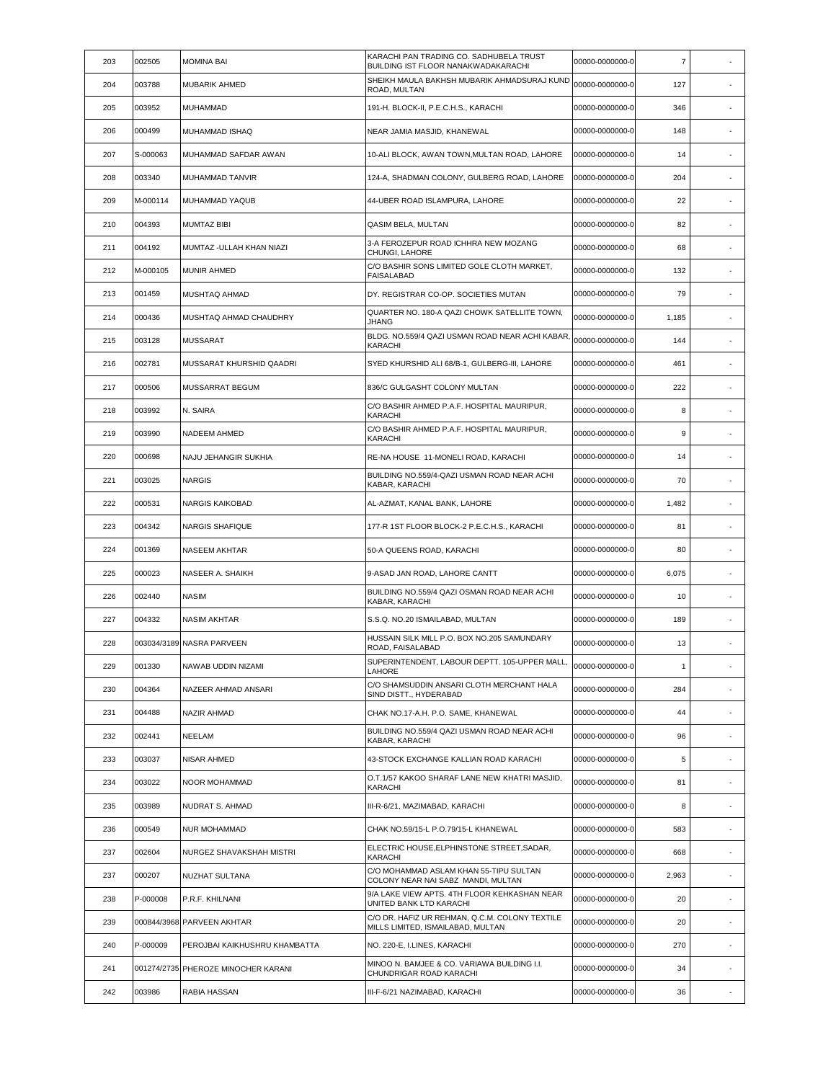| 203 | 002505   | <b>MOMINA BAI</b>                   | KARACHI PAN TRADING CO. SADHUBELA TRUST<br>BUILDING IST FLOOR NANAKWADAKARACHI      | 00000-0000000-0 | $\overline{7}$ |                          |
|-----|----------|-------------------------------------|-------------------------------------------------------------------------------------|-----------------|----------------|--------------------------|
| 204 | 003788   | MUBARIK AHMED                       | SHEIKH MAULA BAKHSH MUBARIK AHMADSURAJ KUND<br>ROAD, MULTAN                         | 00000-0000000-0 | 127            | $\overline{\phantom{a}}$ |
| 205 | 003952   | MUHAMMAD                            | 191-H. BLOCK-II, P.E.C.H.S., KARACHI                                                | 00000-0000000-0 | 346            | ٠                        |
| 206 | 000499   | MUHAMMAD ISHAQ                      | NEAR JAMIA MASJID, KHANEWAL                                                         | 00000-0000000-0 | 148            |                          |
| 207 | S-000063 | MUHAMMAD SAFDAR AWAN                | 10-ALI BLOCK, AWAN TOWN, MULTAN ROAD, LAHORE                                        | 00000-0000000-0 | 14             | ×.                       |
| 208 | 003340   | MUHAMMAD TANVIR                     | 124-A, SHADMAN COLONY, GULBERG ROAD, LAHORE                                         | 00000-0000000-0 | 204            | $\overline{\phantom{a}}$ |
| 209 | M-000114 | MUHAMMAD YAQUB                      | 44-UBER ROAD ISLAMPURA, LAHORE                                                      | 00000-0000000-0 | 22             |                          |
| 210 | 004393   | <b>MUMTAZ BIBI</b>                  | QASIM BELA, MULTAN                                                                  | 00000-0000000-0 | 82             | ٠                        |
| 211 | 004192   | MUMTAZ -ULLAH KHAN NIAZI            | 3-A FEROZEPUR ROAD ICHHRA NEW MOZANG<br>CHUNGI, LAHORE                              | 00000-0000000-0 | 68             | $\overline{\phantom{a}}$ |
| 212 | M-000105 | <b>MUNIR AHMED</b>                  | C/O BASHIR SONS LIMITED GOLE CLOTH MARKET,<br><b>FAISALABAD</b>                     | 00000-0000000-0 | 132            |                          |
| 213 | 001459   | MUSHTAQ AHMAD                       | DY. REGISTRAR CO-OP. SOCIETIES MUTAN                                                | 00000-0000000-0 | 79             |                          |
| 214 | 000436   | MUSHTAQ AHMAD CHAUDHRY              | QUARTER NO. 180-A QAZI CHOWK SATELLITE TOWN,<br><b>JHANG</b>                        | 00000-0000000-0 | 1,185          | $\overline{\phantom{a}}$ |
| 215 | 003128   | <b>MUSSARAT</b>                     | BLDG. NO.559/4 QAZI USMAN ROAD NEAR ACHI KABAR<br>KARACHI                           | 00000-0000000-0 | 144            | $\sim$                   |
| 216 | 002781   | MUSSARAT KHURSHID QAADRI            | SYED KHURSHID ALI 68/B-1, GULBERG-III, LAHORE                                       | 00000-0000000-0 | 461            |                          |
| 217 | 000506   | MUSSARRAT BEGUM                     | 836/C GULGASHT COLONY MULTAN                                                        | 00000-0000000-0 | 222            |                          |
| 218 | 003992   | N. SAIRA                            | C/O BASHIR AHMED P.A.F. HOSPITAL MAURIPUR,<br>KARACHI                               | 00000-0000000-0 | 8              |                          |
| 219 | 003990   | NADEEM AHMED                        | C/O BASHIR AHMED P.A.F. HOSPITAL MAURIPUR,<br>KARACHI                               | 00000-0000000-0 | 9              |                          |
| 220 | 000698   | NAJU JEHANGIR SUKHIA                | RE-NA HOUSE 11-MONELI ROAD, KARACHI                                                 | 00000-0000000-0 | 14             | $\overline{\phantom{a}}$ |
| 221 | 003025   | <b>NARGIS</b>                       | BUILDING NO.559/4-QAZI USMAN ROAD NEAR ACHI<br>KABAR, KARACHI                       | 00000-0000000-0 | 70             | $\sim$                   |
| 222 | 000531   | <b>NARGIS KAIKOBAD</b>              | AL-AZMAT, KANAL BANK, LAHORE                                                        | 00000-0000000-0 | 1,482          |                          |
| 223 | 004342   | <b>NARGIS SHAFIQUE</b>              | 177-R 1ST FLOOR BLOCK-2 P.E.C.H.S., KARACHI                                         | 00000-0000000-0 | 81             | ٠                        |
| 224 | 001369   | NASEEM AKHTAR                       | 50-A QUEENS ROAD, KARACHI                                                           | 00000-0000000-0 | 80             | ٠                        |
| 225 | 000023   | NASEER A. SHAIKH                    | 9-ASAD JAN ROAD, LAHORE CANTT                                                       | 00000-0000000-0 | 6,075          |                          |
| 226 | 002440   | <b>NASIM</b>                        | BUILDING NO.559/4 QAZI OSMAN ROAD NEAR ACHI<br>KABAR, KARACHI                       | 00000-0000000-0 | 10             | ٠                        |
| 227 | 004332   | <b>NASIM AKHTAR</b>                 | S.S.Q. NO.20 ISMAILABAD, MULTAN                                                     | 00000-0000000-0 | 189            | ٠                        |
| 228 |          | 003034/3189 NASRA PARVEEN           | HUSSAIN SILK MILL P.O. BOX NO.205 SAMUNDARY<br>ROAD, FAISALABAD                     | 00000-0000000-0 | 13             |                          |
| 229 | 001330   | NAWAB UDDIN NIZAMI                  | SUPERINTENDENT, LABOUR DEPTT. 105-UPPER MALL<br>LAHORE                              | 00000-0000000-0 | $\mathbf{1}$   |                          |
| 230 | 004364   | NAZEER AHMAD ANSARI                 | C/O SHAMSUDDIN ANSARI CLOTH MERCHANT HALA<br>SIND DISTT., HYDERABAD                 | 00000-0000000-0 | 284            | $\overline{\phantom{a}}$ |
| 231 | 004488   | NAZIR AHMAD                         | CHAK NO.17-A.H. P.O. SAME. KHANEWAL                                                 | 00000-0000000-0 | 44             |                          |
| 232 | 002441   | NEELAM                              | BUILDING NO.559/4 QAZI USMAN ROAD NEAR ACHI<br>KABAR, KARACHI                       | 00000-0000000-0 | 96             | $\overline{\phantom{a}}$ |
| 233 | 003037   | <b>NISAR AHMED</b>                  | 43-STOCK EXCHANGE KALLIAN ROAD KARACHI                                              | 00000-0000000-0 | 5              | $\overline{\phantom{a}}$ |
| 234 | 003022   | NOOR MOHAMMAD                       | O.T.1/57 KAKOO SHARAF LANE NEW KHATRI MASJID,<br>KARACHI                            | 00000-0000000-0 | 81             | $\sim$                   |
| 235 | 003989   | NUDRAT S. AHMAD                     | III-R-6/21, MAZIMABAD, KARACHI                                                      | 00000-0000000-0 | 8              |                          |
| 236 | 000549   | NUR MOHAMMAD                        | CHAK NO.59/15-L P.O.79/15-L KHANEWAL                                                | 00000-0000000-0 | 583            | $\overline{\phantom{a}}$ |
| 237 | 002604   | NURGEZ SHAVAKSHAH MISTRI            | ELECTRIC HOUSE, ELPHINSTONE STREET, SADAR,<br>KARACHI                               | 00000-0000000-0 | 668            | $\overline{\phantom{a}}$ |
| 237 | 000207   | NUZHAT SULTANA                      | C/O MOHAMMAD ASLAM KHAN 55-TIPU SULTAN<br>COLONY NEAR NAI SABZ MANDI, MULTAN        | 00000-0000000-0 | 2,963          |                          |
| 238 | P-000008 | P.R.F. KHILNANI                     | 9/A LAKE VIEW APTS. 4TH FLOOR KEHKASHAN NEAR<br>UNITED BANK LTD KARACHI             | 00000-0000000-0 | 20             | $\blacksquare$           |
| 239 |          | 000844/3968 PARVEEN AKHTAR          | C/O DR. HAFIZ UR REHMAN, Q.C.M. COLONY TEXTILE<br>MILLS LIMITED, ISMAILABAD, MULTAN | 00000-0000000-0 | 20             | $\sim$                   |
| 240 | P-000009 | PEROJBAI KAIKHUSHRU KHAMBATTA       | NO. 220-E, I.LINES, KARACHI                                                         | 00000-0000000-0 | 270            | $\overline{\phantom{a}}$ |
| 241 |          | 001274/2735 PHEROZE MINOCHER KARANI | MINOO N. BAMJEE & CO. VARIAWA BUILDING I.I.<br>CHUNDRIGAR ROAD KARACHI              | 00000-0000000-0 | 34             | $\epsilon$               |
| 242 | 003986   | RABIA HASSAN                        | III-F-6/21 NAZIMABAD, KARACHI                                                       | 00000-0000000-0 | 36             | $\sim$                   |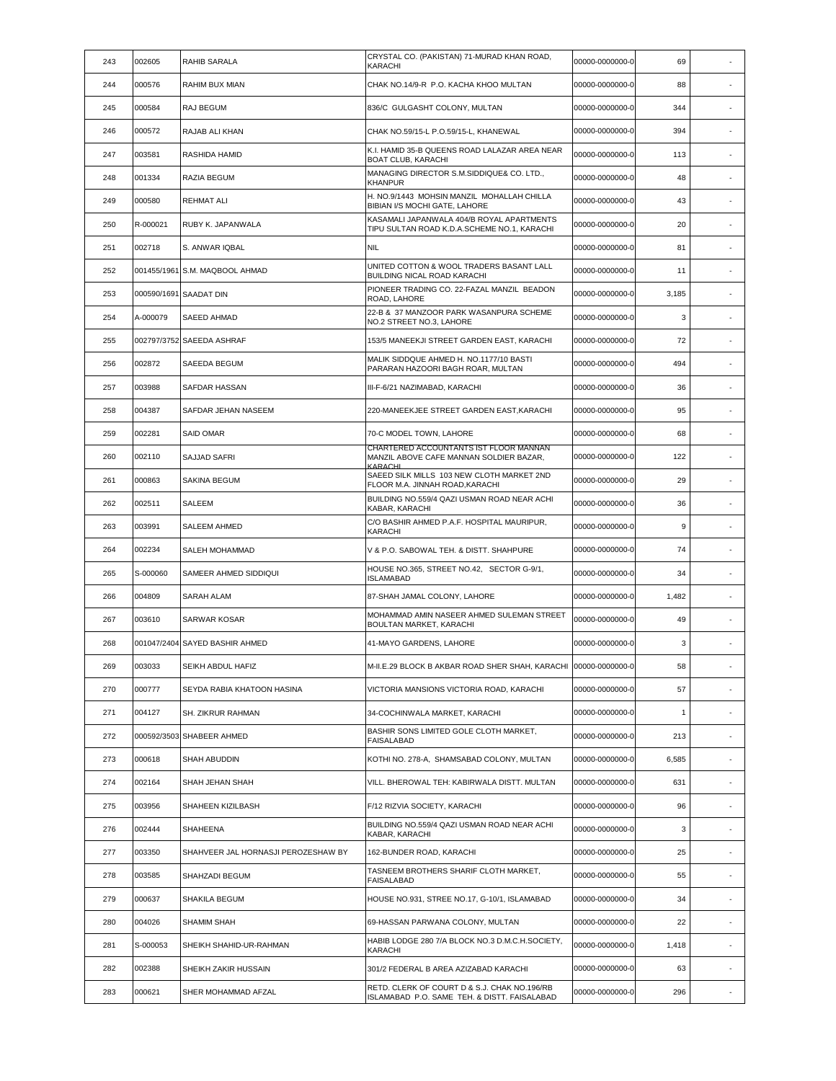| 243 | 002605   | RAHIB SARALA                        | CRYSTAL CO. (PAKISTAN) 71-MURAD KHAN ROAD,<br>KARACHI                                        | 00000-0000000-0 | 69    |                          |
|-----|----------|-------------------------------------|----------------------------------------------------------------------------------------------|-----------------|-------|--------------------------|
| 244 | 000576   | RAHIM BUX MIAN                      | CHAK NO.14/9-R P.O. KACHA KHOO MULTAN                                                        | 00000-0000000-0 | 88    | $\sim$                   |
| 245 | 000584   | RAJ BEGUM                           | 836/C GULGASHT COLONY, MULTAN                                                                | 00000-0000000-0 | 344   | $\sim$                   |
| 246 | 000572   | RAJAB ALI KHAN                      | CHAK NO.59/15-L P.O.59/15-L, KHANEWAL                                                        | 00000-0000000-0 | 394   |                          |
| 247 | 003581   | RASHIDA HAMID                       | K.I. HAMID 35-B QUEENS ROAD LALAZAR AREA NEAR<br><b>BOAT CLUB, KARACHI</b>                   | 00000-0000000-0 | 113   | ×,                       |
| 248 | 001334   | RAZIA BEGUM                         | MANAGING DIRECTOR S.M.SIDDIQUE& CO. LTD.,<br><b>KHANPUR</b>                                  | 00000-0000000-0 | 48    | $\overline{\phantom{a}}$ |
| 249 | 000580   | REHMAT ALI                          | H. NO.9/1443 MOHSIN MANZIL MOHALLAH CHILLA<br>BIBIAN I/S MOCHI GATE, LAHORE                  | 00000-0000000-0 | 43    | $\sim$                   |
| 250 | R-000021 | RUBY K. JAPANWALA                   | KASAMALI JAPANWALA 404/B ROYAL APARTMENTS<br>TIPU SULTAN ROAD K.D.A.SCHEME NO.1, KARACHI     | 00000-0000000-0 | 20    |                          |
| 251 | 002718   | S. ANWAR IQBAL                      | <b>NIL</b>                                                                                   | 00000-0000000-0 | 81    | ٠                        |
| 252 |          | 001455/1961 S.M. MAQBOOL AHMAD      | UNITED COTTON & WOOL TRADERS BASANT LALL<br>BUILDING NICAL ROAD KARACHI                      | 00000-0000000-0 | 11    |                          |
| 253 |          | 000590/1691 SAADAT DIN              | PIONEER TRADING CO. 22-FAZAL MANZIL BEADON<br>ROAD, LAHORE                                   | 00000-0000000-0 | 3,185 | ×.                       |
| 254 | A-000079 | SAEED AHMAD                         | 22-B & 37 MANZOOR PARK WASANPURA SCHEME<br>NO.2 STREET NO.3, LAHORE                          | 00000-0000000-0 | 3     | $\overline{\phantom{a}}$ |
| 255 |          | 002797/3752 SAEEDA ASHRAF           | 153/5 MANEEKJI STREET GARDEN EAST, KARACHI                                                   | 00000-0000000-0 | 72    | ×,                       |
| 256 | 002872   | SAEEDA BEGUM                        | MALIK SIDDQUE AHMED H. NO.1177/10 BASTI<br>PARARAN HAZOORI BAGH ROAR, MULTAN                 | 00000-0000000-0 | 494   | $\sim$                   |
| 257 | 003988   | SAFDAR HASSAN                       | III-F-6/21 NAZIMABAD, KARACHI                                                                | 00000-0000000-0 | 36    | $\sim$                   |
| 258 | 004387   | SAFDAR JEHAN NASEEM                 | 220-MANEEKJEE STREET GARDEN EAST, KARACHI                                                    | 00000-0000000-0 | 95    |                          |
| 259 | 002281   | <b>SAID OMAR</b>                    | 70-C MODEL TOWN, LAHORE                                                                      | 00000-0000000-0 | 68    | $\sim$                   |
| 260 | 002110   | <b>SAJJAD SAFRI</b>                 | CHARTERED ACCOUNTANTS IST FLOOR MANNAN<br>MANZIL ABOVE CAFE MANNAN SOLDIER BAZAR,<br>KARACHI | 00000-0000000-0 | 122   |                          |
| 261 | 000863   | <b>SAKINA BEGUM</b>                 | SAEED SILK MILLS 103 NEW CLOTH MARKET 2ND<br>FLOOR M.A. JINNAH ROAD, KARACHI                 | 00000-0000000-0 | 29    | ×,                       |
| 262 | 002511   | SALEEM                              | BUILDING NO.559/4 QAZI USMAN ROAD NEAR ACHI<br>KABAR, KARACHI                                | 00000-0000000-0 | 36    |                          |
| 263 | 003991   | SALEEM AHMED                        | C/O BASHIR AHMED P.A.F. HOSPITAL MAURIPUR,<br><b>KARACHI</b>                                 | 00000-0000000-0 | 9     | $\sim$                   |
| 264 | 002234   | SALEH MOHAMMAD                      | V & P.O. SABOWAL TEH. & DISTT. SHAHPURE                                                      | 00000-0000000-0 | 74    | ٠                        |
| 265 | S-000060 | SAMEER AHMED SIDDIQUI               | HOUSE NO.365, STREET NO.42, SECTOR G-9/1,<br><b>ISLAMABAD</b>                                | 00000-0000000-0 | 34    |                          |
| 266 | 004809   | <b>SARAH ALAM</b>                   | 87-SHAH JAMAL COLONY, LAHORE                                                                 | 00000-0000000-0 | 1,482 | $\sim$                   |
| 267 | 003610   | <b>SARWAR KOSAR</b>                 | MOHAMMAD AMIN NASEER AHMED SULEMAN STREET<br>BOULTAN MARKET, KARACHI                         | 00000-0000000-0 | 49    | $\sim$                   |
| 268 |          | 001047/2404 SAYED BASHIR AHMED      | 41-MAYO GARDENS, LAHORE                                                                      | 00000-0000000-0 | 3     |                          |
| 269 | 003033   | SEIKH ABDUL HAFIZ                   | M-II.E.29 BLOCK B AKBAR ROAD SHER SHAH, KARACHI 00000-0000000-0                              |                 | 58    |                          |
| 270 | 000777   | SEYDA RABIA KHATOON HASINA          | VICTORIA MANSIONS VICTORIA ROAD, KARACHI                                                     | 00000-0000000-0 | 57    | $\overline{\phantom{a}}$ |
| 271 | 004127   | SH. ZIKRUR RAHMAN                   | 34-COCHINWALA MARKET, KARACHI                                                                | 00000-0000000-0 | 1     |                          |
| 272 |          | 000592/3503 SHABEER AHMED           | BASHIR SONS LIMITED GOLE CLOTH MARKET,<br><b>FAISALABAD</b>                                  | 00000-0000000-0 | 213   | ×.                       |
| 273 | 000618   | SHAH ABUDDIN                        | KOTHI NO. 278-A, SHAMSABAD COLONY, MULTAN                                                    | 00000-0000000-0 | 6,585 | $\overline{\phantom{a}}$ |
| 274 | 002164   | SHAH JEHAN SHAH                     | VILL. BHEROWAL TEH: KABIRWALA DISTT. MULTAN                                                  | 00000-0000000-0 | 631   | $\overline{\phantom{a}}$ |
| 275 | 003956   | SHAHEEN KIZILBASH                   | F/12 RIZVIA SOCIETY, KARACHI                                                                 | 00000-0000000-0 | 96    | ٠                        |
| 276 | 002444   | SHAHEENA                            | BUILDING NO.559/4 QAZI USMAN ROAD NEAR ACHI<br>KABAR, KARACHI                                | 00000-0000000-0 | 3     | ٠                        |
| 277 | 003350   | SHAHVEER JAL HORNASJI PEROZESHAW BY | 162-BUNDER ROAD, KARACHI                                                                     | 00000-0000000-0 | 25    |                          |
| 278 | 003585   | SHAHZADI BEGUM                      | TASNEEM BROTHERS SHARIF CLOTH MARKET,<br><b>FAISALABAD</b>                                   | 00000-0000000-0 | 55    | $\overline{\phantom{a}}$ |
| 279 | 000637   | SHAKILA BEGUM                       | HOUSE NO.931, STREE NO.17, G-10/1, ISLAMABAD                                                 | 00000-0000000-0 | 34    | $\overline{\phantom{a}}$ |
| 280 | 004026   | SHAMIM SHAH                         | 69-HASSAN PARWANA COLONY, MULTAN                                                             | 00000-0000000-0 | 22    | ×,                       |
| 281 | S-000053 | SHEIKH SHAHID-UR-RAHMAN             | HABIB LODGE 280 7/A BLOCK NO.3 D.M.C.H.SOCIETY,<br>KARACHI                                   | 00000-0000000-0 | 1,418 | ٠                        |
| 282 | 002388   | SHEIKH ZAKIR HUSSAIN                | 301/2 FEDERAL B AREA AZIZABAD KARACHI                                                        | 00000-0000000-0 | 63    | $\overline{\phantom{a}}$ |
| 283 | 000621   | SHER MOHAMMAD AFZAL                 | RETD. CLERK OF COURT D & S.J. CHAK NO.196/RB<br>ISLAMABAD P.O. SAME TEH. & DISTT. FAISALABAD | 00000-0000000-0 | 296   | $\sim$                   |